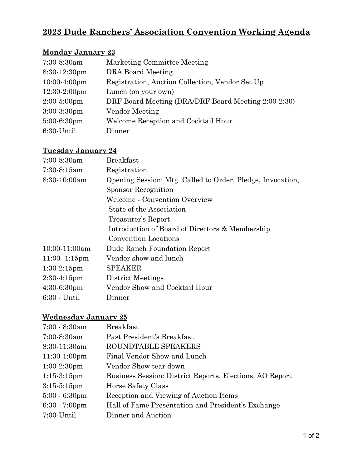# **2023 Dude Ranchers' Association Convention Working Agenda**

### **Monday January 23**

| $7:30-8:30am$   | Marketing Committee Meeting                         |
|-----------------|-----------------------------------------------------|
| $8:30-12:30$ pm | DRA Board Meeting                                   |
| $10:00-4:00$ pm | Registration, Auction Collection, Vendor Set Up     |
| $12:30-2:00$ pm | Lunch (on your own)                                 |
| $2:00-5:00$ pm  | DRF Board Meeting (DRA/DRF Board Meeting 2:00-2:30) |
| $3:00-3:30$ pm  | Vendor Meeting                                      |
| $5:00-6:30$ pm  | Welcome Reception and Cocktail Hour                 |
| 6:30-Until      | Dinner                                              |

#### **Tuesday January 24**

| <b>Breakfast</b>                                           |  |
|------------------------------------------------------------|--|
| Registration                                               |  |
| Opening Session: Mtg. Called to Order, Pledge, Invocation, |  |
| <b>Sponsor Recognition</b>                                 |  |
| Welcome - Convention Overview                              |  |
| State of the Association                                   |  |
| Treasurer's Report                                         |  |
| Introduction of Board of Directors & Membership            |  |
| <b>Convention Locations</b>                                |  |
| Dude Ranch Foundation Report                               |  |
| Vendor show and lunch                                      |  |
| <b>SPEAKER</b>                                             |  |
| District Meetings                                          |  |
| Vendor Show and Cocktail Hour                              |  |
| Dinner                                                     |  |
|                                                            |  |

### **Wednesday January 25**

| $7:00 - 8:30$ am        | <b>Breakfast</b>                                         |  |
|-------------------------|----------------------------------------------------------|--|
| $7:00-8:30am$           | Past President's Breakfast                               |  |
| $8:30-11:30am$          | ROUNDTABLE SPEAKERS                                      |  |
| $11:30-1:00$ pm         | Final Vendor Show and Lunch                              |  |
| $1:00-2:30$ pm          | Vendor Show tear down                                    |  |
| $1:15-3:15$ pm          | Business Session: District Reports, Elections, AO Report |  |
| $3:15-5:15$ pm          | Horse Safety Class                                       |  |
| $5:00 - 6:30$ pm        | Reception and Viewing of Auction Items                   |  |
| $6:30 - 7:00 \text{pm}$ | Hall of Fame Presentation and President's Exchange       |  |
| $7:00$ -Until           | Dinner and Auction                                       |  |
|                         |                                                          |  |